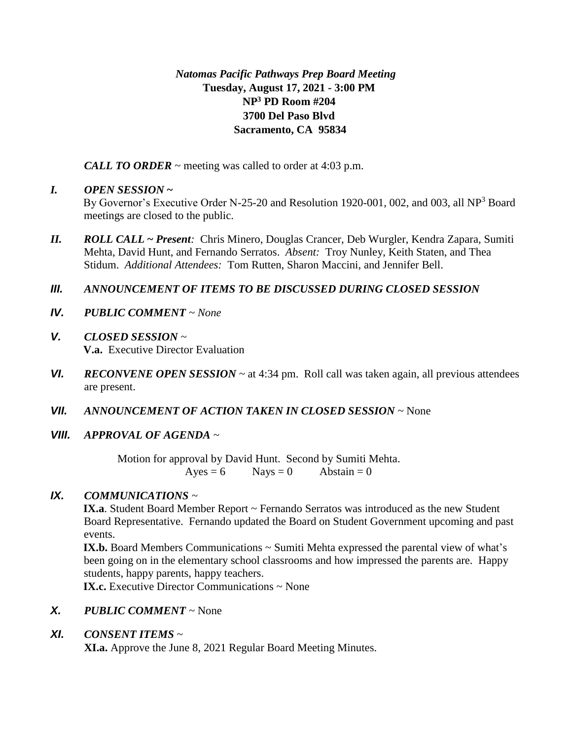# *Natomas Pacific Pathways Prep Board Meeting* **Tuesday, August 17, 2021 - 3:00 PM NP<sup>3</sup> PD Room #204 3700 Del Paso Blvd Sacramento, CA 95834**

*CALL TO ORDER* ~ meeting was called to order at 4:03 p.m.

# *I. OPEN SESSION* **~**

By Governor's Executive Order N-25-20 and Resolution 1920-001, 002, and 003, all NP<sup>3</sup> Board meetings are closed to the public.

*II. ROLL CALL* **~** *Present:* Chris Minero, Douglas Crancer, Deb Wurgler, Kendra Zapara, Sumiti Mehta, David Hunt, and Fernando Serratos. *Absent:* Troy Nunley, Keith Staten, and Thea Stidum. *Additional Attendees:* Tom Rutten, Sharon Maccini, and Jennifer Bell.

# *III. ANNOUNCEMENT OF ITEMS TO BE DISCUSSED DURING CLOSED SESSION*

- *IV. PUBLIC COMMENT ~ None*
- *V. CLOSED SESSION ~*  **V.a.** Executive Director Evaluation
- *VI. RECONVENE OPEN SESSION ~* at 4:34 pm. Roll call was taken again, all previous attendees are present.
- *VII. ANNOUNCEMENT OF ACTION TAKEN IN CLOSED SESSION ~* None
- *VIII. APPROVAL OF AGENDA ~*

Motion for approval by David Hunt. Second by Sumiti Mehta.  $Ayes = 6$  Nays = 0 Abstain = 0

# *IX. COMMUNICATIONS ~*

IX.a. Student Board Member Report ~ Fernando Serratos was introduced as the new Student Board Representative. Fernando updated the Board on Student Government upcoming and past events.

**IX.b.** Board Members Communications  $\sim$  Sumiti Mehta expressed the parental view of what's been going on in the elementary school classrooms and how impressed the parents are. Happy students, happy parents, happy teachers.

**IX.c.** Executive Director Communications ~ None

*X. PUBLIC COMMENT ~* None

# *XI. CONSENT ITEMS* ~

**XI.a.** Approve the June 8, 2021 Regular Board Meeting Minutes.